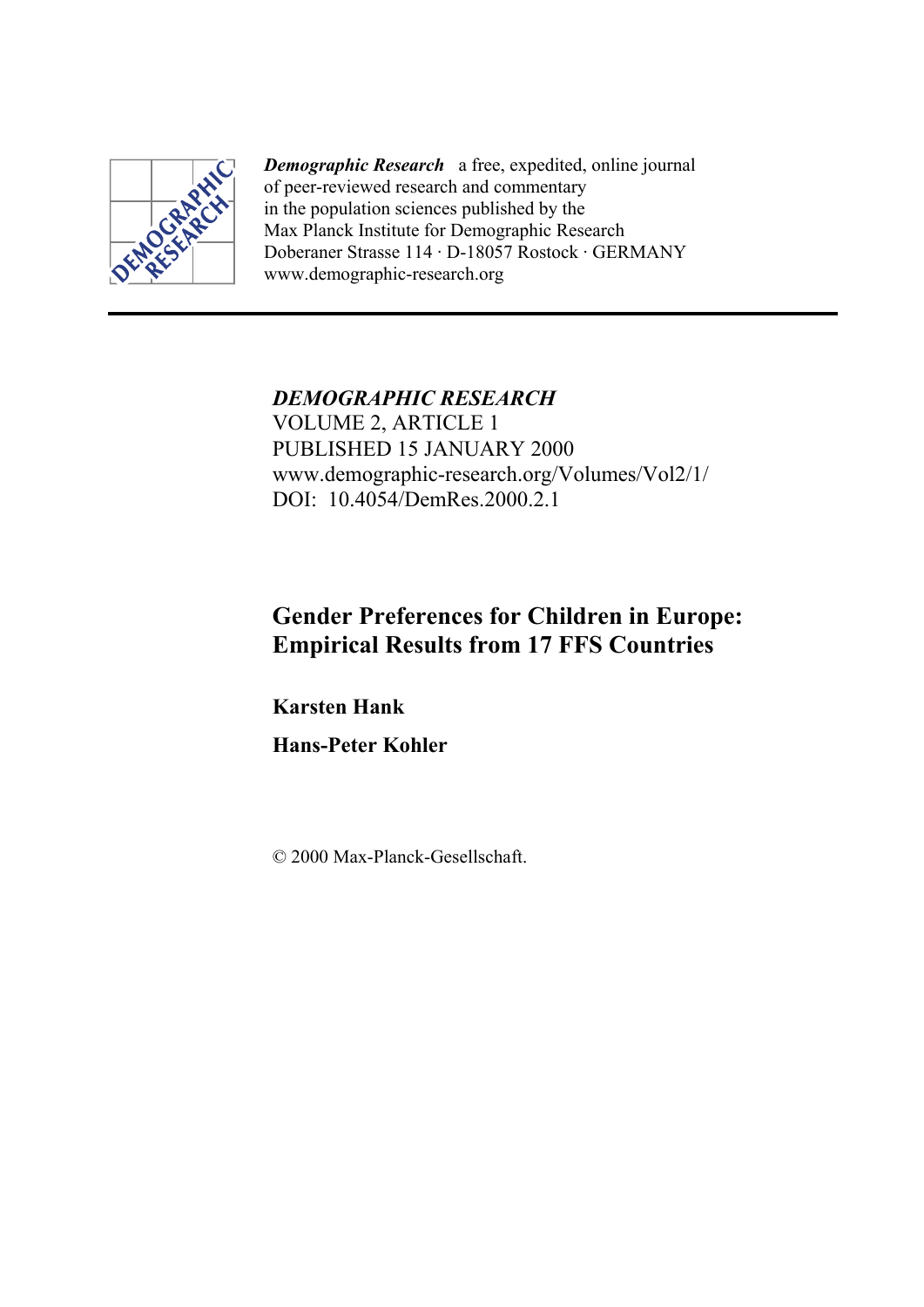

*Demographic Research* a free, expedited, online journal of peer-reviewed research and commentary in the population sciences published by the Max Planck Institute for Demographic Research Doberaner Strasse 114 · D-18057 Rostock · GERMANY www.demographic-research.org

*DEMOGRAPHIC RESEARCH*  VOLUME 2, ARTICLE 1 PUBLISHED 15 JANUARY 2000 www.demographic-research.org/Volumes/Vol2/1/ DOI: 10.4054/DemRes.2000.2.1

# **Gender Preferences for Children in Europe: Empirical Results from 17 FFS Countries**

**Karsten Hank** 

**Hans-Peter Kohler** 

© 2000 Max-Planck-Gesellschaft.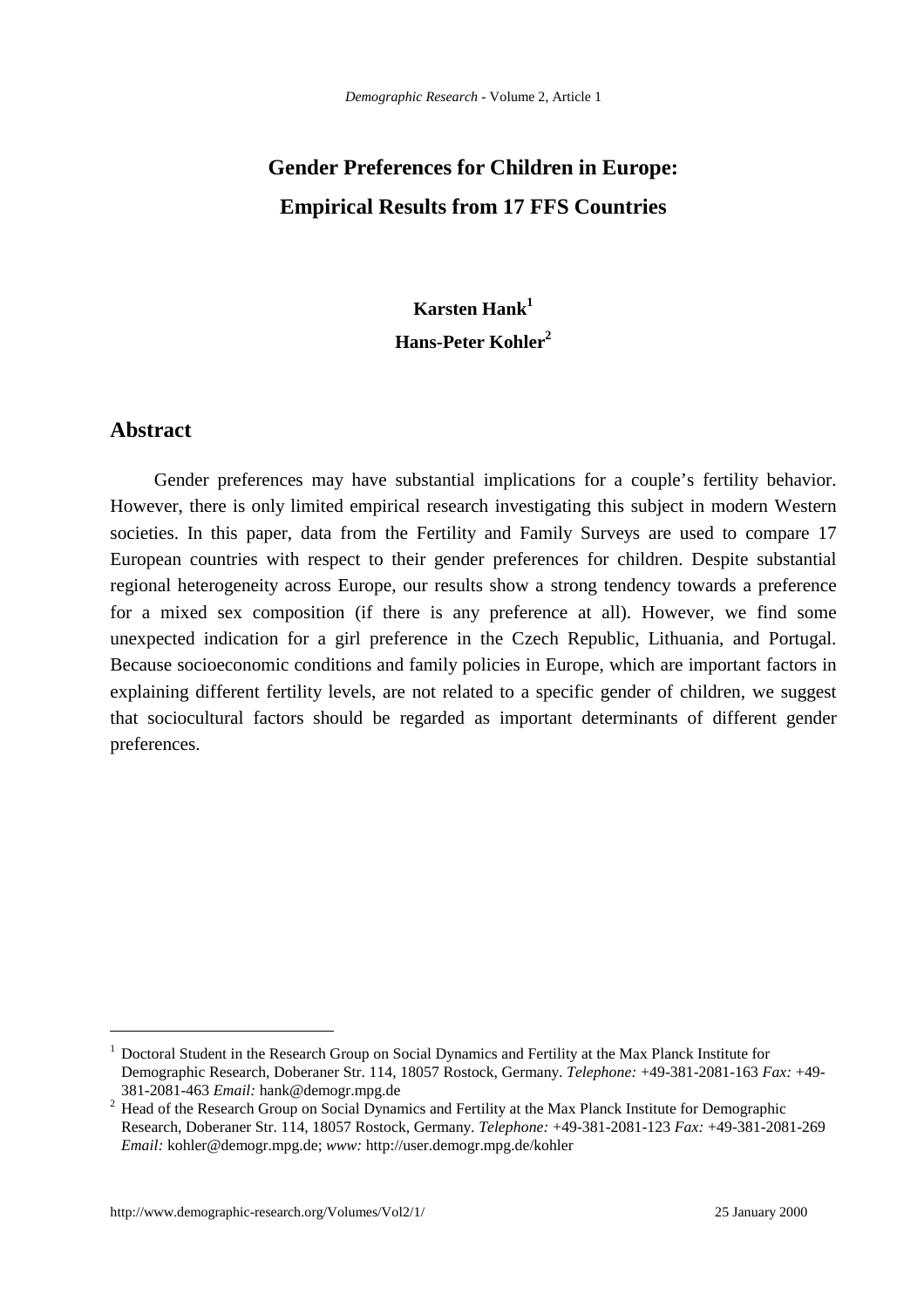# **Gender Preferences for Children in Europe: Empirical Results from 17 FFS Countries**

# **Karsten Hank<sup>1</sup> Hans-Peter Kohler2**

## **Abstract**

 $\overline{a}$ 

Gender preferences may have substantial implications for a couple's fertility behavior. However, there is only limited empirical research investigating this subject in modern Western societies. In this paper, data from the Fertility and Family Surveys are used to compare 17 European countries with respect to their gender preferences for children. Despite substantial regional heterogeneity across Europe, our results show a strong tendency towards a preference for a mixed sex composition (if there is any preference at all). However, we find some unexpected indication for a girl preference in the Czech Republic, Lithuania, and Portugal. Because socioeconomic conditions and family policies in Europe, which are important factors in explaining different fertility levels, are not related to a specific gender of children, we suggest that sociocultural factors should be regarded as important determinants of different gender preferences.

<sup>&</sup>lt;sup>1</sup> Doctoral Student in the Research Group on Social Dynamics and Fertility at the Max Planck Institute for Demographic Research, Doberaner Str. 114, 18057 Rostock, Germany. *Telephone:* +49-381-2081-163 *Fax:* +49-

<sup>381-2081-463</sup> *Email:* hank@demogr.mpg.de <sup>2</sup> Head of the Research Group on Social Dynamics and Fertility at the Max Planck Institute for Demographic Research, Doberaner Str. 114, 18057 Rostock, Germany. *Telephone:* +49-381-2081-123 *Fax:* +49-381-2081-269 *Email:* kohler@demogr.mpg.de; *www:* http://user.demogr.mpg.de/kohler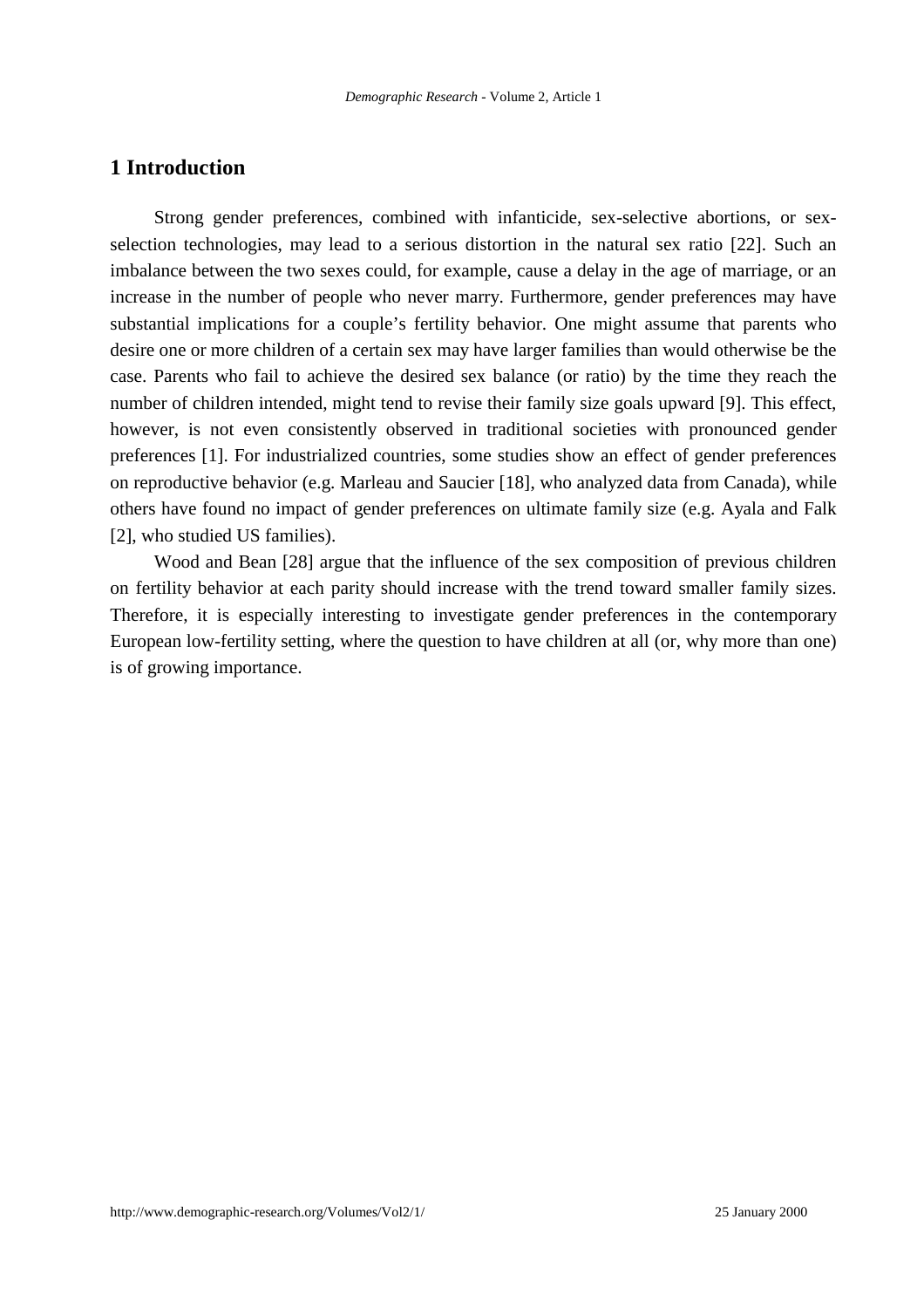# **1 Introduction**

Strong gender preferences, combined with infanticide, sex-selective abortions, or sexselection technologies, may lead to a serious distortion in the natural sex ratio [22]. Such an imbalance between the two sexes could, for example, cause a delay in the age of marriage, or an increase in the number of people who never marry. Furthermore, gender preferences may have substantial implications for a couple's fertility behavior. One might assume that parents who desire one or more children of a certain sex may have larger families than would otherwise be the case. Parents who fail to achieve the desired sex balance (or ratio) by the time they reach the number of children intended, might tend to revise their family size goals upward [9]. This effect, however, is not even consistently observed in traditional societies with pronounced gender preferences [1]. For industrialized countries, some studies show an effect of gender preferences on reproductive behavior (e.g. Marleau and Saucier [18], who analyzed data from Canada), while others have found no impact of gender preferences on ultimate family size (e.g. Ayala and Falk [2], who studied US families).

Wood and Bean [28] argue that the influence of the sex composition of previous children on fertility behavior at each parity should increase with the trend toward smaller family sizes. Therefore, it is especially interesting to investigate gender preferences in the contemporary European low-fertility setting, where the question to have children at all (or, why more than one) is of growing importance.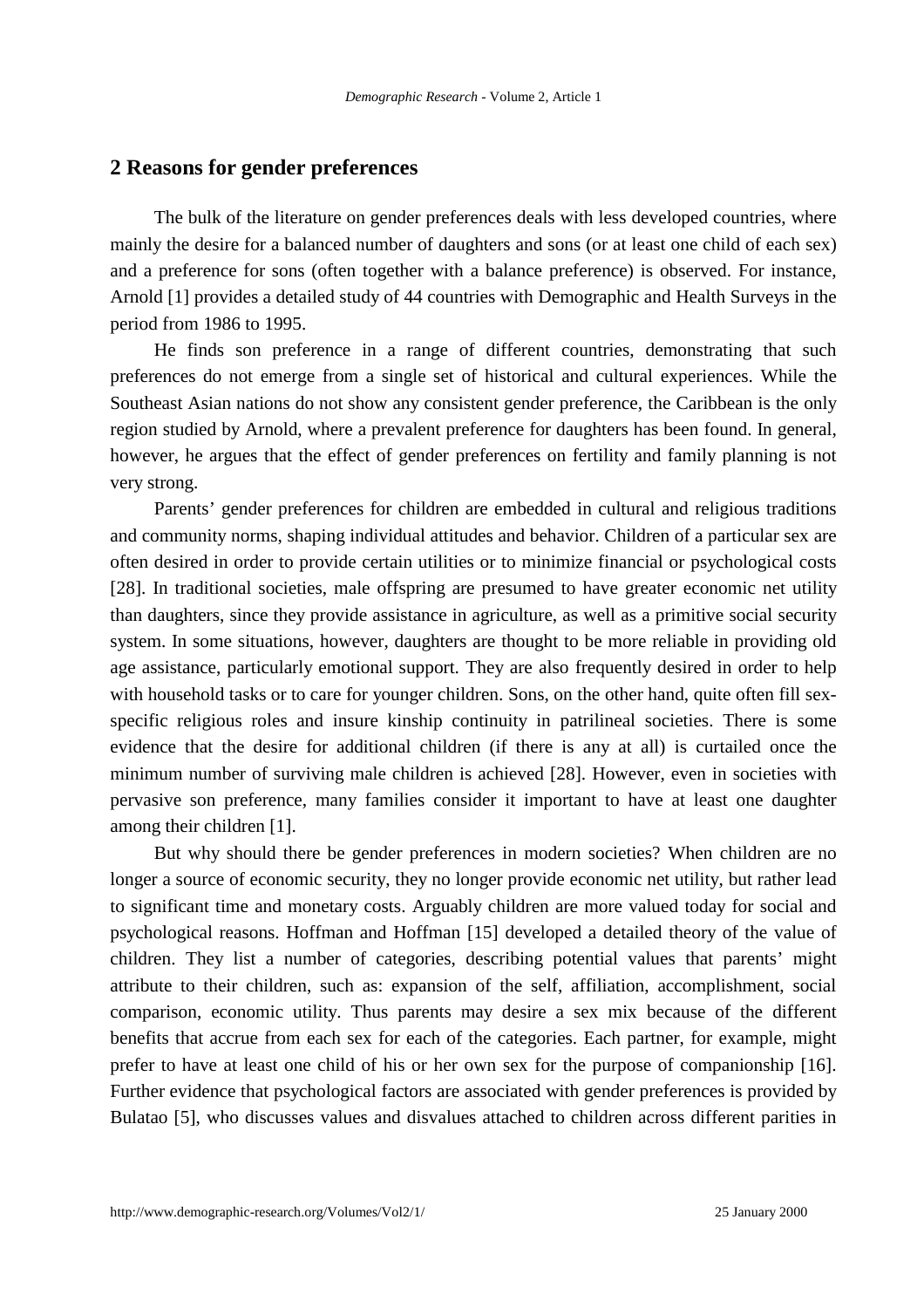### **2 Reasons for gender preferences**

The bulk of the literature on gender preferences deals with less developed countries, where mainly the desire for a balanced number of daughters and sons (or at least one child of each sex) and a preference for sons (often together with a balance preference) is observed. For instance, Arnold [1] provides a detailed study of 44 countries with Demographic and Health Surveys in the period from 1986 to 1995.

He finds son preference in a range of different countries, demonstrating that such preferences do not emerge from a single set of historical and cultural experiences. While the Southeast Asian nations do not show any consistent gender preference, the Caribbean is the only region studied by Arnold, where a prevalent preference for daughters has been found. In general, however, he argues that the effect of gender preferences on fertility and family planning is not very strong.

Parents' gender preferences for children are embedded in cultural and religious traditions and community norms, shaping individual attitudes and behavior. Children of a particular sex are often desired in order to provide certain utilities or to minimize financial or psychological costs [28]. In traditional societies, male offspring are presumed to have greater economic net utility than daughters, since they provide assistance in agriculture, as well as a primitive social security system. In some situations, however, daughters are thought to be more reliable in providing old age assistance, particularly emotional support. They are also frequently desired in order to help with household tasks or to care for younger children. Sons, on the other hand, quite often fill sexspecific religious roles and insure kinship continuity in patrilineal societies. There is some evidence that the desire for additional children (if there is any at all) is curtailed once the minimum number of surviving male children is achieved [28]. However, even in societies with pervasive son preference, many families consider it important to have at least one daughter among their children [1].

But why should there be gender preferences in modern societies? When children are no longer a source of economic security, they no longer provide economic net utility, but rather lead to significant time and monetary costs. Arguably children are more valued today for social and psychological reasons. Hoffman and Hoffman [15] developed a detailed theory of the value of children. They list a number of categories, describing potential values that parents' might attribute to their children, such as: expansion of the self, affiliation, accomplishment, social comparison, economic utility. Thus parents may desire a sex mix because of the different benefits that accrue from each sex for each of the categories. Each partner, for example, might prefer to have at least one child of his or her own sex for the purpose of companionship [16]. Further evidence that psychological factors are associated with gender preferences is provided by Bulatao [5], who discusses values and disvalues attached to children across different parities in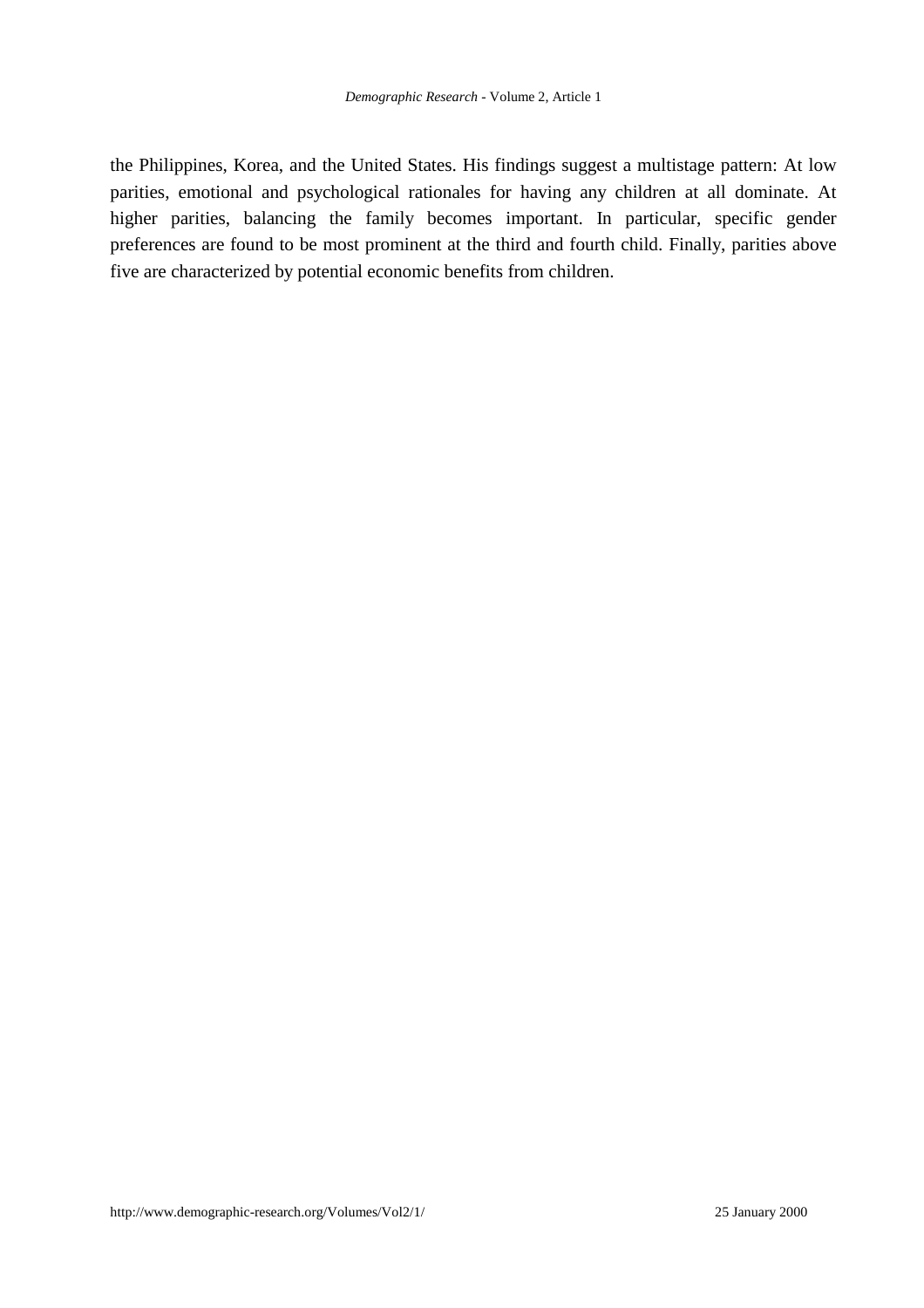the Philippines, Korea, and the United States. His findings suggest a multistage pattern: At low parities, emotional and psychological rationales for having any children at all dominate. At higher parities, balancing the family becomes important. In particular, specific gender preferences are found to be most prominent at the third and fourth child. Finally, parities above five are characterized by potential economic benefits from children.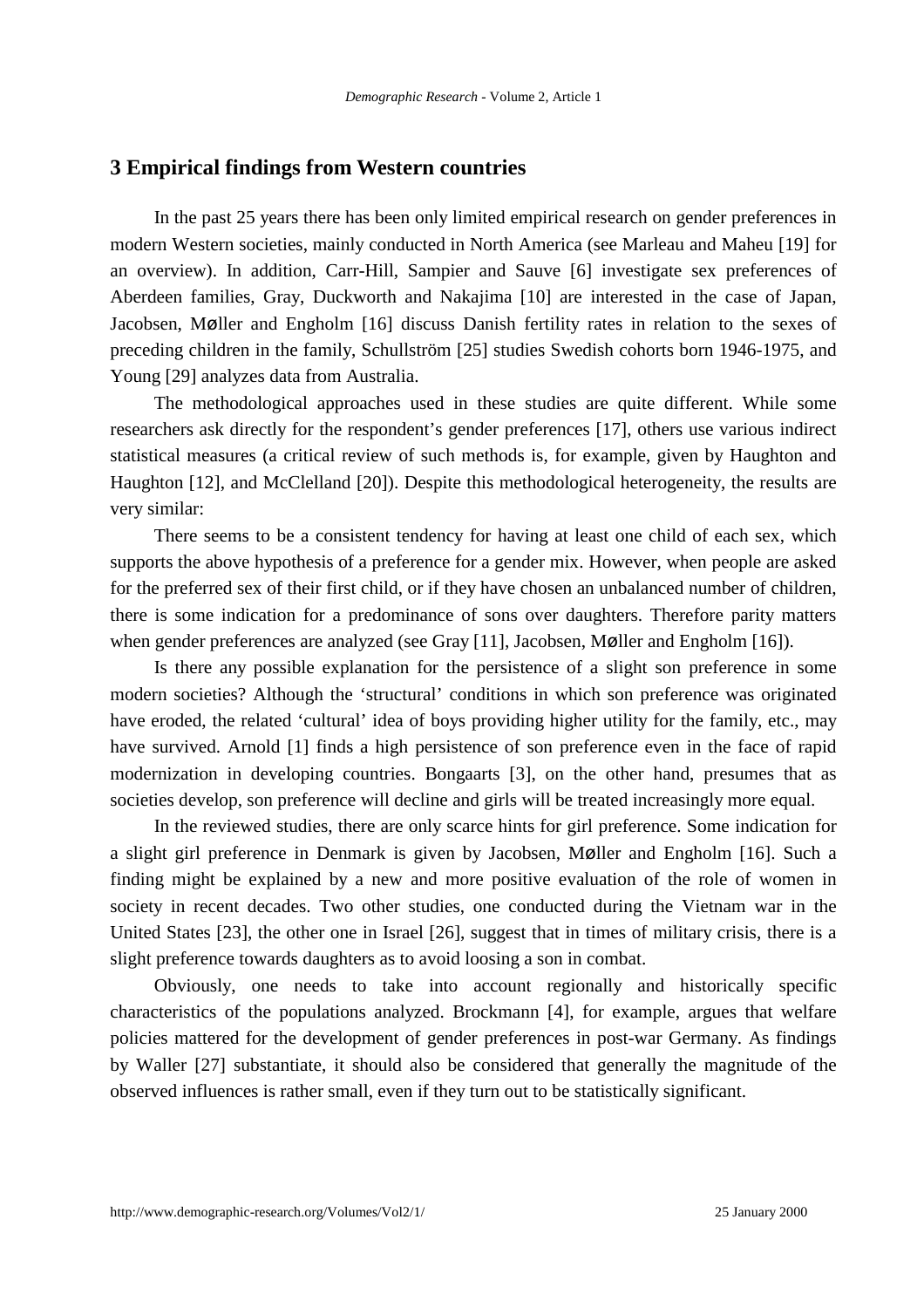### **3 Empirical findings from Western countries**

In the past 25 years there has been only limited empirical research on gender preferences in modern Western societies, mainly conducted in North America (see Marleau and Maheu [19] for an overview). In addition, Carr-Hill, Sampier and Sauve [6] investigate sex preferences of Aberdeen families, Gray, Duckworth and Nakajima [10] are interested in the case of Japan, Jacobsen, Møller and Engholm [16] discuss Danish fertility rates in relation to the sexes of preceding children in the family, Schullström [25] studies Swedish cohorts born 1946-1975, and Young [29] analyzes data from Australia.

The methodological approaches used in these studies are quite different. While some researchers ask directly for the respondent's gender preferences [17], others use various indirect statistical measures (a critical review of such methods is, for example, given by Haughton and Haughton [12], and McClelland [20]). Despite this methodological heterogeneity, the results are very similar:

There seems to be a consistent tendency for having at least one child of each sex, which supports the above hypothesis of a preference for a gender mix. However, when people are asked for the preferred sex of their first child, or if they have chosen an unbalanced number of children, there is some indication for a predominance of sons over daughters. Therefore parity matters when gender preferences are analyzed (see Gray [11], Jacobsen, Møller and Engholm [16]).

Is there any possible explanation for the persistence of a slight son preference in some modern societies? Although the 'structural' conditions in which son preference was originated have eroded, the related 'cultural' idea of boys providing higher utility for the family, etc., may have survived. Arnold [1] finds a high persistence of son preference even in the face of rapid modernization in developing countries. Bongaarts [3], on the other hand, presumes that as societies develop, son preference will decline and girls will be treated increasingly more equal.

In the reviewed studies, there are only scarce hints for girl preference. Some indication for a slight girl preference in Denmark is given by Jacobsen, Møller and Engholm [16]. Such a finding might be explained by a new and more positive evaluation of the role of women in society in recent decades. Two other studies, one conducted during the Vietnam war in the United States [23], the other one in Israel [26], suggest that in times of military crisis, there is a slight preference towards daughters as to avoid loosing a son in combat.

Obviously, one needs to take into account regionally and historically specific characteristics of the populations analyzed. Brockmann [4], for example, argues that welfare policies mattered for the development of gender preferences in post-war Germany. As findings by Waller [27] substantiate, it should also be considered that generally the magnitude of the observed influences is rather small, even if they turn out to be statistically significant.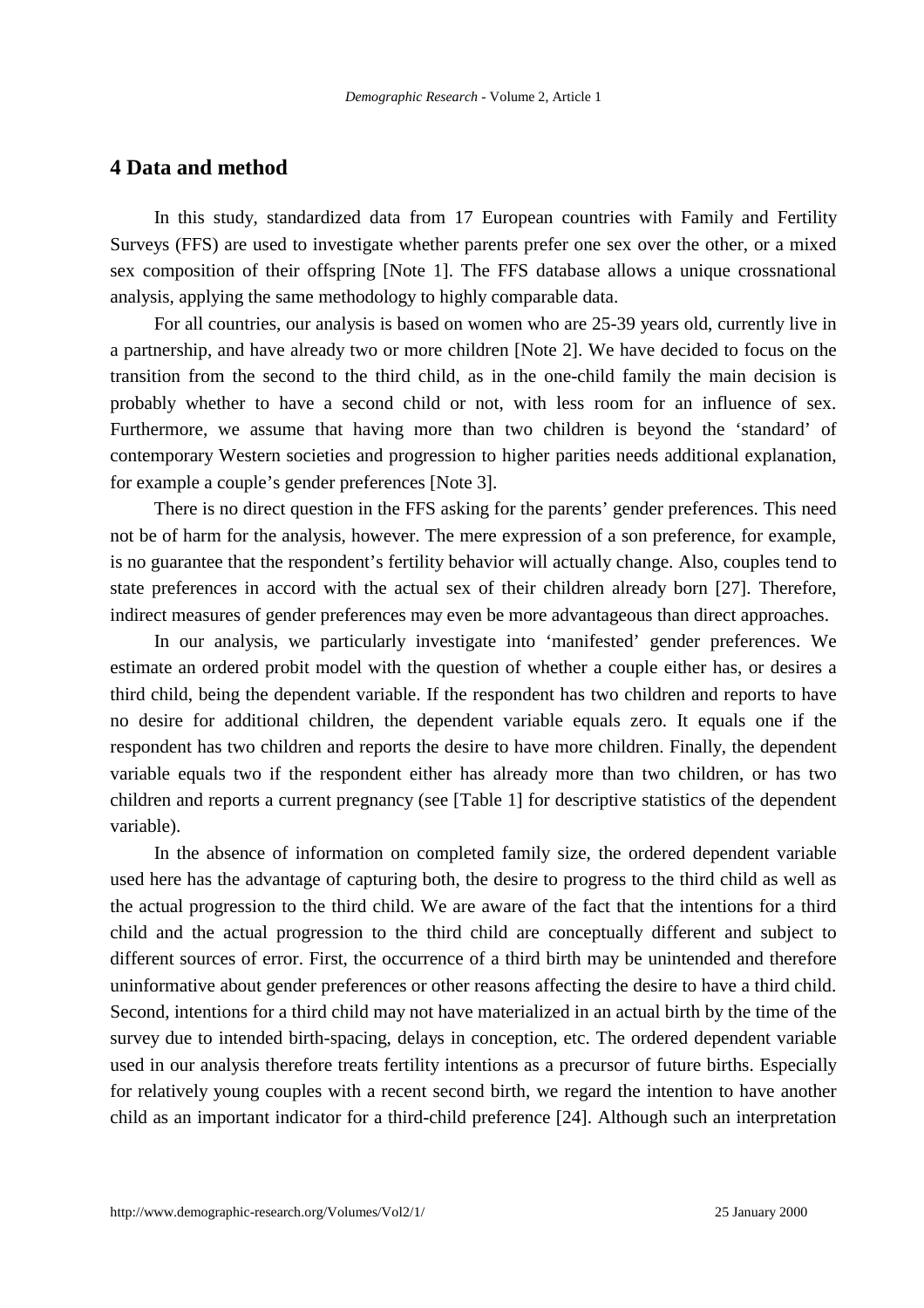## **4 Data and method**

In this study, standardized data from 17 European countries with Family and Fertility Surveys (FFS) are used to investigate whether parents prefer one sex over the other, or a mixed sex composition of their offspring [Note 1]. The FFS database allows a unique crossnational analysis, applying the same methodology to highly comparable data.

For all countries, our analysis is based on women who are 25-39 years old, currently live in a partnership, and have already two or more children [Note 2]. We have decided to focus on the transition from the second to the third child, as in the one-child family the main decision is probably whether to have a second child or not, with less room for an influence of sex. Furthermore, we assume that having more than two children is beyond the 'standard' of contemporary Western societies and progression to higher parities needs additional explanation, for example a couple's gender preferences [Note 3].

There is no direct question in the FFS asking for the parents' gender preferences. This need not be of harm for the analysis, however. The mere expression of a son preference, for example, is no guarantee that the respondent's fertility behavior will actually change. Also, couples tend to state preferences in accord with the actual sex of their children already born [27]. Therefore, indirect measures of gender preferences may even be more advantageous than direct approaches.

In our analysis, we particularly investigate into 'manifested' gender preferences. We estimate an ordered probit model with the question of whether a couple either has, or desires a third child, being the dependent variable. If the respondent has two children and reports to have no desire for additional children, the dependent variable equals zero. It equals one if the respondent has two children and reports the desire to have more children. Finally, the dependent variable equals two if the respondent either has already more than two children, or has two children and reports a current pregnancy (see [Table 1] for descriptive statistics of the dependent variable).

In the absence of information on completed family size, the ordered dependent variable used here has the advantage of capturing both, the desire to progress to the third child as well as the actual progression to the third child. We are aware of the fact that the intentions for a third child and the actual progression to the third child are conceptually different and subject to different sources of error. First, the occurrence of a third birth may be unintended and therefore uninformative about gender preferences or other reasons affecting the desire to have a third child. Second, intentions for a third child may not have materialized in an actual birth by the time of the survey due to intended birth-spacing, delays in conception, etc. The ordered dependent variable used in our analysis therefore treats fertility intentions as a precursor of future births. Especially for relatively young couples with a recent second birth, we regard the intention to have another child as an important indicator for a third-child preference [24]. Although such an interpretation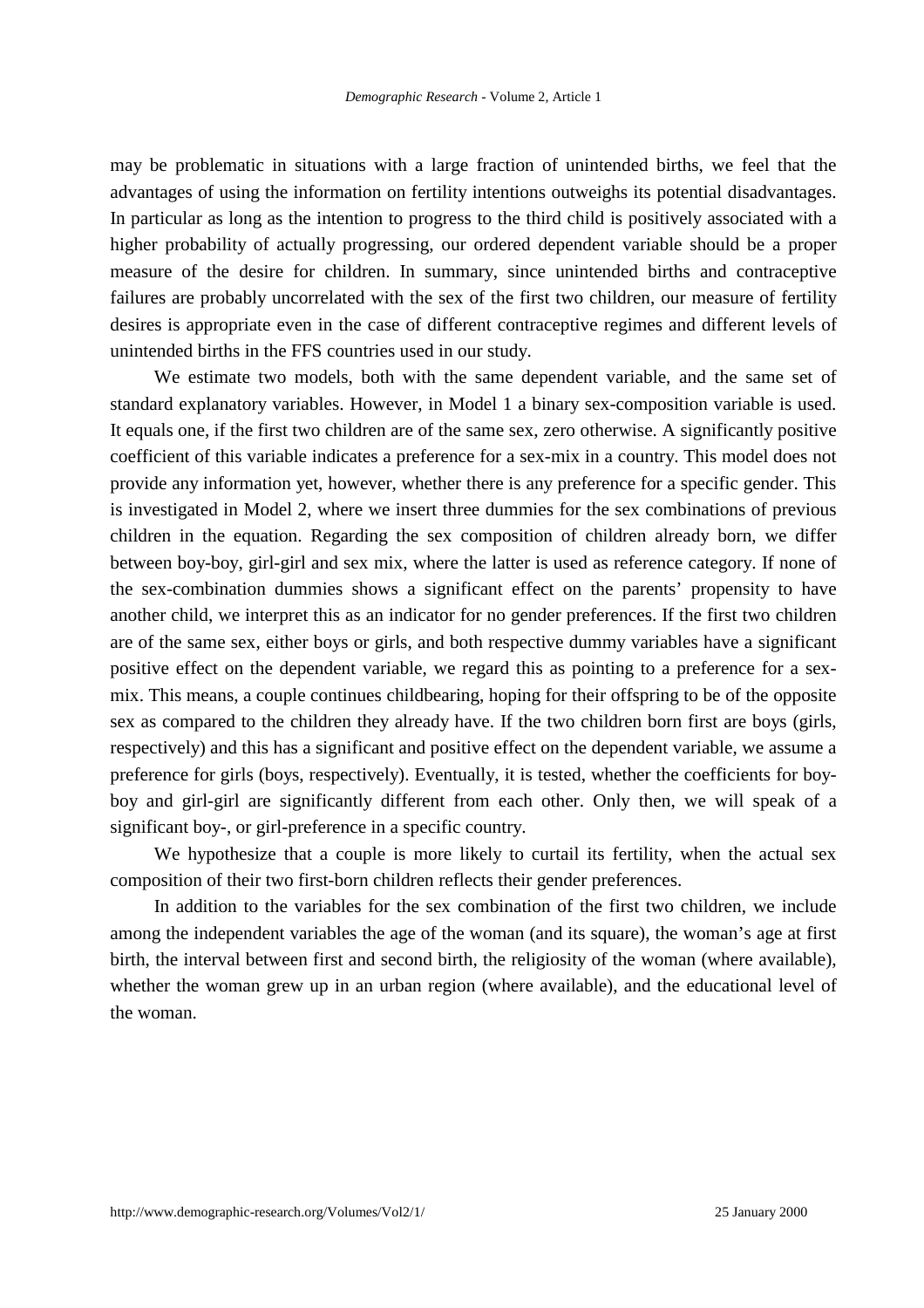may be problematic in situations with a large fraction of unintended births, we feel that the advantages of using the information on fertility intentions outweighs its potential disadvantages. In particular as long as the intention to progress to the third child is positively associated with a higher probability of actually progressing, our ordered dependent variable should be a proper measure of the desire for children. In summary, since unintended births and contraceptive failures are probably uncorrelated with the sex of the first two children, our measure of fertility desires is appropriate even in the case of different contraceptive regimes and different levels of unintended births in the FFS countries used in our study.

We estimate two models, both with the same dependent variable, and the same set of standard explanatory variables. However, in Model 1 a binary sex-composition variable is used. It equals one, if the first two children are of the same sex, zero otherwise. A significantly positive coefficient of this variable indicates a preference for a sex-mix in a country. This model does not provide any information yet, however, whether there is any preference for a specific gender. This is investigated in Model 2, where we insert three dummies for the sex combinations of previous children in the equation. Regarding the sex composition of children already born, we differ between boy-boy, girl-girl and sex mix, where the latter is used as reference category. If none of the sex-combination dummies shows a significant effect on the parents' propensity to have another child, we interpret this as an indicator for no gender preferences. If the first two children are of the same sex, either boys or girls, and both respective dummy variables have a significant positive effect on the dependent variable, we regard this as pointing to a preference for a sexmix. This means, a couple continues childbearing, hoping for their offspring to be of the opposite sex as compared to the children they already have. If the two children born first are boys (girls, respectively) and this has a significant and positive effect on the dependent variable, we assume a preference for girls (boys, respectively). Eventually, it is tested, whether the coefficients for boyboy and girl-girl are significantly different from each other. Only then, we will speak of a significant boy-, or girl-preference in a specific country.

We hypothesize that a couple is more likely to curtail its fertility, when the actual sex composition of their two first-born children reflects their gender preferences.

In addition to the variables for the sex combination of the first two children, we include among the independent variables the age of the woman (and its square), the woman's age at first birth, the interval between first and second birth, the religiosity of the woman (where available), whether the woman grew up in an urban region (where available), and the educational level of the woman.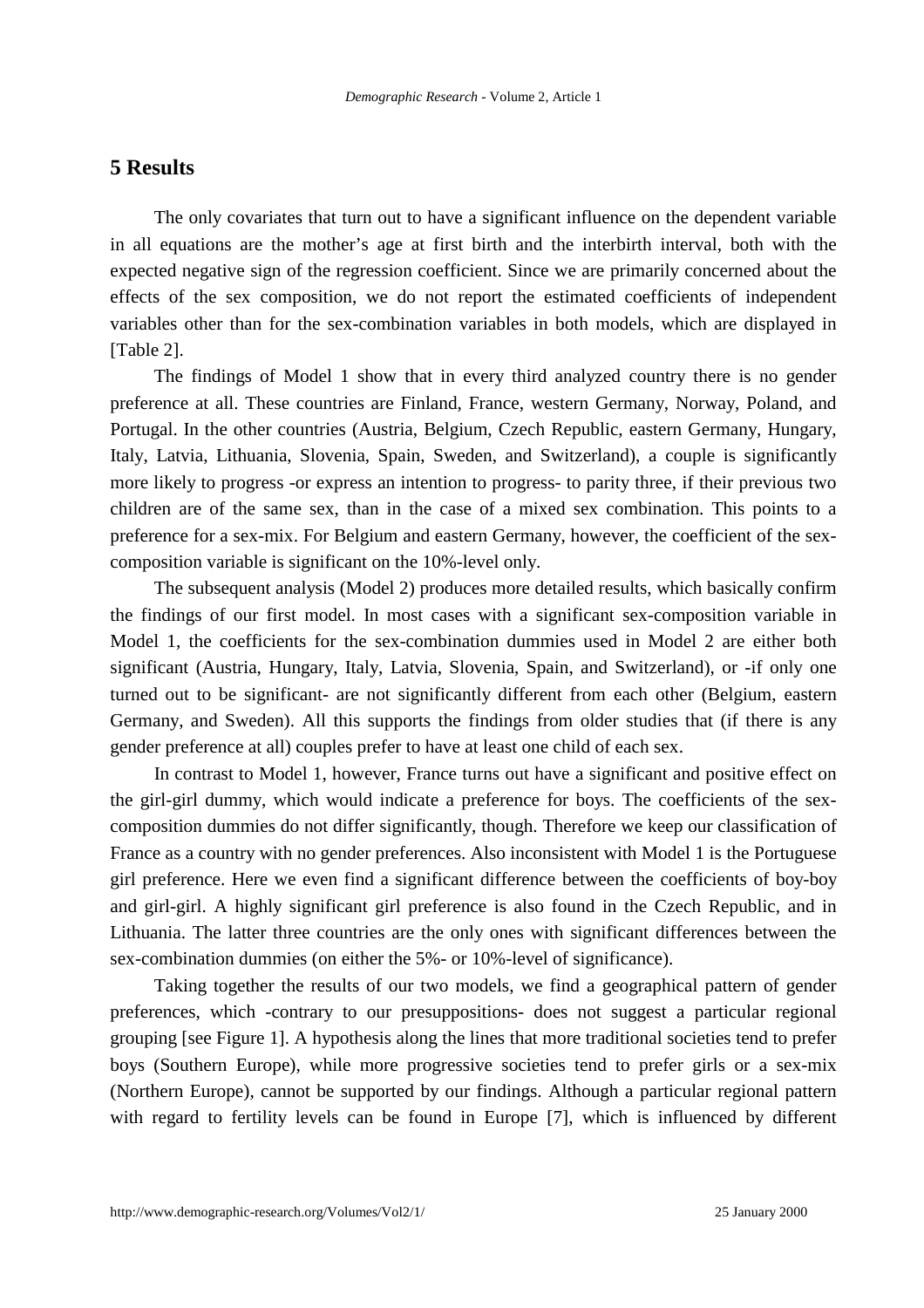## **5 Results**

The only covariates that turn out to have a significant influence on the dependent variable in all equations are the mother's age at first birth and the interbirth interval, both with the expected negative sign of the regression coefficient. Since we are primarily concerned about the effects of the sex composition, we do not report the estimated coefficients of independent variables other than for the sex-combination variables in both models, which are displayed in [Table 2].

The findings of Model 1 show that in every third analyzed country there is no gender preference at all. These countries are Finland, France, western Germany, Norway, Poland, and Portugal. In the other countries (Austria, Belgium, Czech Republic, eastern Germany, Hungary, Italy, Latvia, Lithuania, Slovenia, Spain, Sweden, and Switzerland), a couple is significantly more likely to progress -or express an intention to progress- to parity three, if their previous two children are of the same sex, than in the case of a mixed sex combination. This points to a preference for a sex-mix. For Belgium and eastern Germany, however, the coefficient of the sexcomposition variable is significant on the 10%-level only.

The subsequent analysis (Model 2) produces more detailed results, which basically confirm the findings of our first model. In most cases with a significant sex-composition variable in Model 1, the coefficients for the sex-combination dummies used in Model 2 are either both significant (Austria, Hungary, Italy, Latvia, Slovenia, Spain, and Switzerland), or -if only one turned out to be significant- are not significantly different from each other (Belgium, eastern Germany, and Sweden). All this supports the findings from older studies that (if there is any gender preference at all) couples prefer to have at least one child of each sex.

In contrast to Model 1, however, France turns out have a significant and positive effect on the girl-girl dummy, which would indicate a preference for boys. The coefficients of the sexcomposition dummies do not differ significantly, though. Therefore we keep our classification of France as a country with no gender preferences. Also inconsistent with Model 1 is the Portuguese girl preference. Here we even find a significant difference between the coefficients of boy-boy and girl-girl. A highly significant girl preference is also found in the Czech Republic, and in Lithuania. The latter three countries are the only ones with significant differences between the sex-combination dummies (on either the 5%- or 10%-level of significance).

Taking together the results of our two models, we find a geographical pattern of gender preferences, which -contrary to our presuppositions- does not suggest a particular regional grouping [see Figure 1]. A hypothesis along the lines that more traditional societies tend to prefer boys (Southern Europe), while more progressive societies tend to prefer girls or a sex-mix (Northern Europe), cannot be supported by our findings. Although a particular regional pattern with regard to fertility levels can be found in Europe [7], which is influenced by different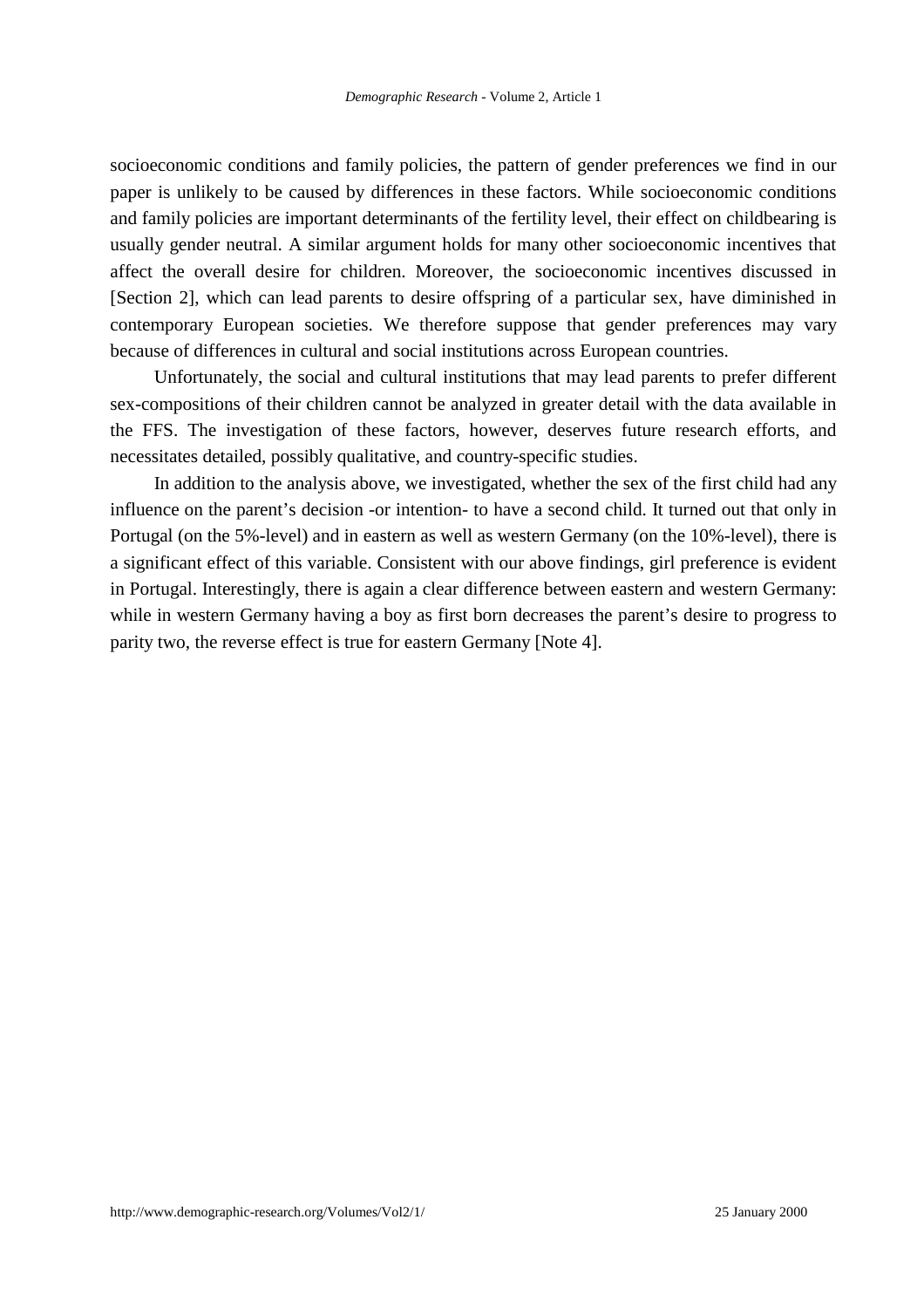socioeconomic conditions and family policies, the pattern of gender preferences we find in our paper is unlikely to be caused by differences in these factors. While socioeconomic conditions and family policies are important determinants of the fertility level, their effect on childbearing is usually gender neutral. A similar argument holds for many other socioeconomic incentives that affect the overall desire for children. Moreover, the socioeconomic incentives discussed in [Section 2], which can lead parents to desire offspring of a particular sex, have diminished in contemporary European societies. We therefore suppose that gender preferences may vary because of differences in cultural and social institutions across European countries.

Unfortunately, the social and cultural institutions that may lead parents to prefer different sex-compositions of their children cannot be analyzed in greater detail with the data available in the FFS. The investigation of these factors, however, deserves future research efforts, and necessitates detailed, possibly qualitative, and country-specific studies.

In addition to the analysis above, we investigated, whether the sex of the first child had any influence on the parent's decision -or intention- to have a second child. It turned out that only in Portugal (on the 5%-level) and in eastern as well as western Germany (on the 10%-level), there is a significant effect of this variable. Consistent with our above findings, girl preference is evident in Portugal. Interestingly, there is again a clear difference between eastern and western Germany: while in western Germany having a boy as first born decreases the parent's desire to progress to parity two, the reverse effect is true for eastern Germany [Note 4].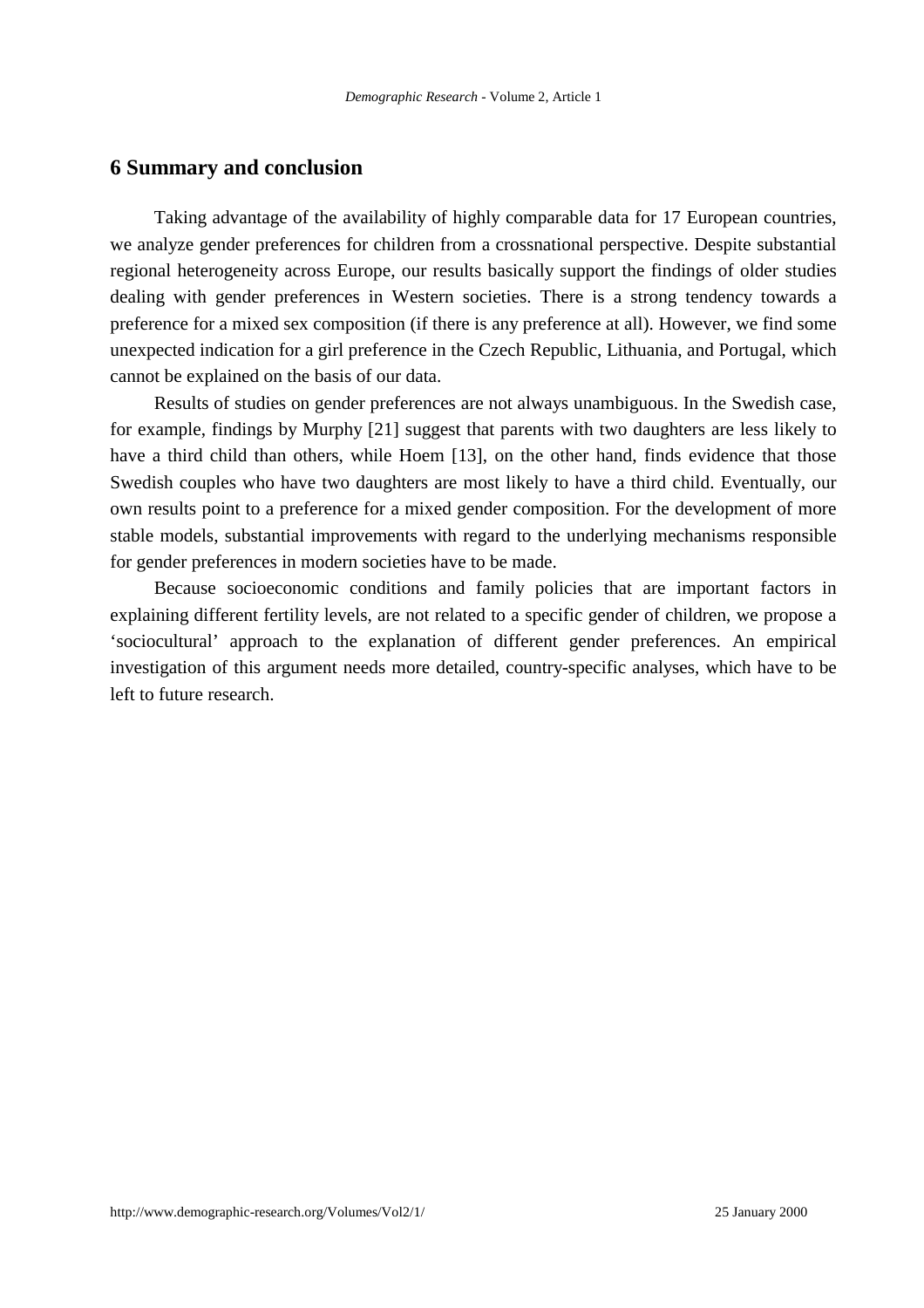### **6 Summary and conclusion**

Taking advantage of the availability of highly comparable data for 17 European countries, we analyze gender preferences for children from a crossnational perspective. Despite substantial regional heterogeneity across Europe, our results basically support the findings of older studies dealing with gender preferences in Western societies. There is a strong tendency towards a preference for a mixed sex composition (if there is any preference at all). However, we find some unexpected indication for a girl preference in the Czech Republic, Lithuania, and Portugal, which cannot be explained on the basis of our data.

Results of studies on gender preferences are not always unambiguous. In the Swedish case, for example, findings by Murphy [21] suggest that parents with two daughters are less likely to have a third child than others, while Hoem [13], on the other hand, finds evidence that those Swedish couples who have two daughters are most likely to have a third child. Eventually, our own results point to a preference for a mixed gender composition. For the development of more stable models, substantial improvements with regard to the underlying mechanisms responsible for gender preferences in modern societies have to be made.

Because socioeconomic conditions and family policies that are important factors in explaining different fertility levels, are not related to a specific gender of children, we propose a 'sociocultural' approach to the explanation of different gender preferences. An empirical investigation of this argument needs more detailed, country-specific analyses, which have to be left to future research.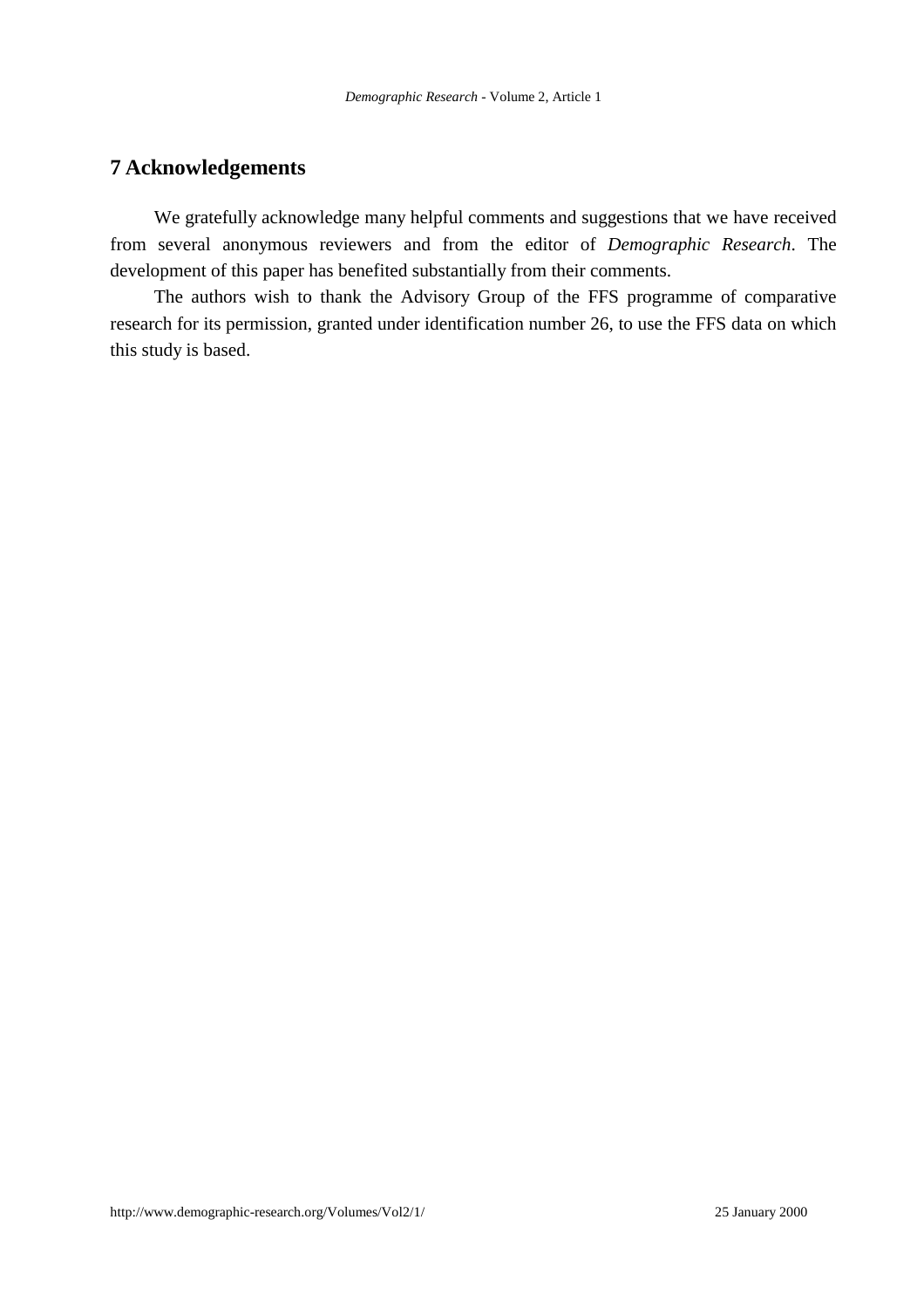# **7 Acknowledgements**

We gratefully acknowledge many helpful comments and suggestions that we have received from several anonymous reviewers and from the editor of *Demographic Research*. The development of this paper has benefited substantially from their comments.

The authors wish to thank the Advisory Group of the FFS programme of comparative research for its permission, granted under identification number 26, to use the FFS data on which this study is based.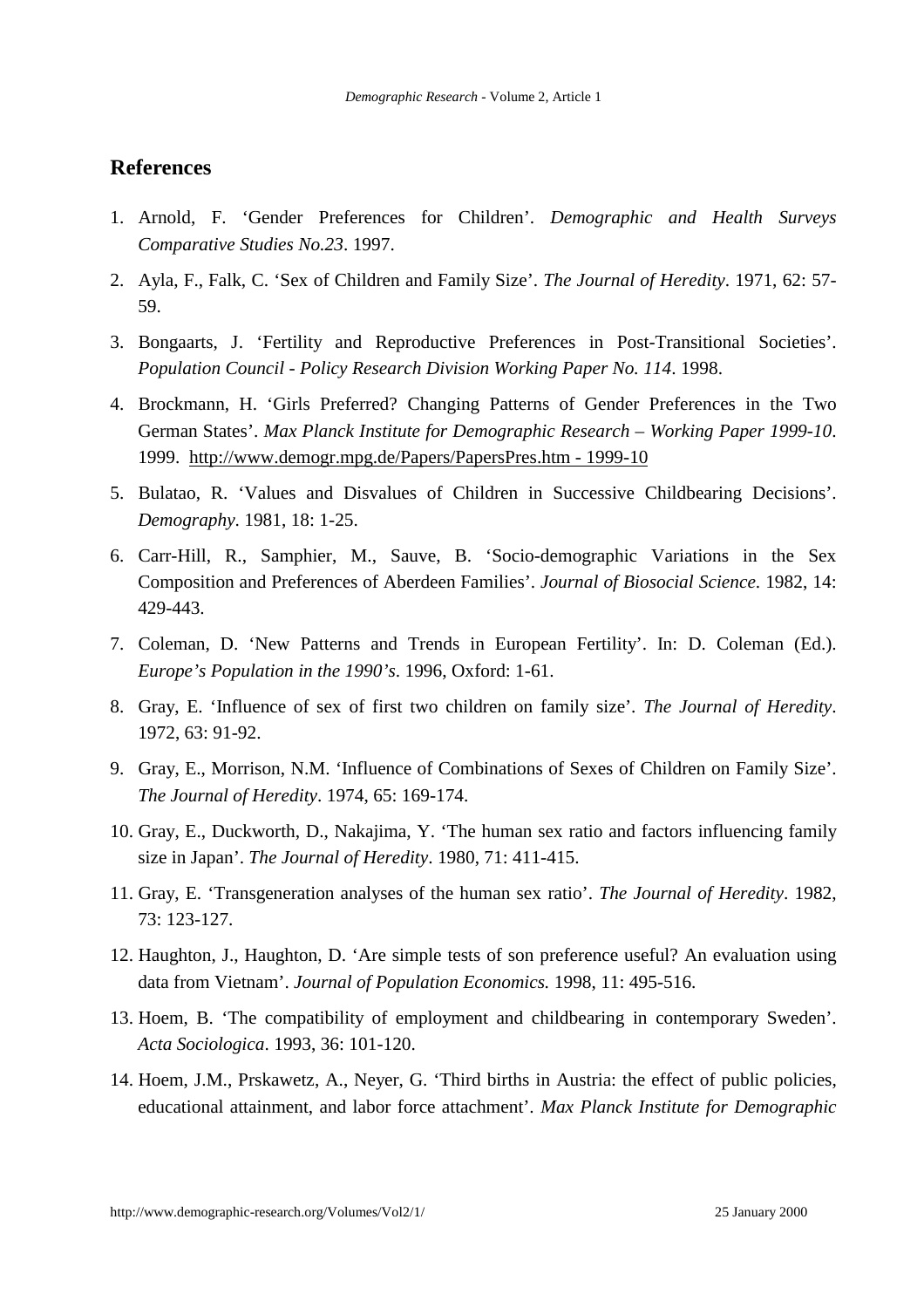# **References**

- 1. Arnold, F. 'Gender Preferences for Children'. *Demographic and Health Surveys Comparative Studies No.23*. 1997.
- 2. Ayla, F., Falk, C. 'Sex of Children and Family Size'. *The Journal of Heredity*. 1971, 62: 57- 59.
- 3. Bongaarts, J. 'Fertility and Reproductive Preferences in Post-Transitional Societies'. *Population Council - Policy Research Division Working Paper No. 114*. 1998.
- 4. Brockmann, H. 'Girls Preferred? Changing Patterns of Gender Preferences in the Two German States'. *Max Planck Institute for Demographic Research – Working Paper 1999-10*. 1999. http://www.demogr.mpg.de/Papers/PapersPres.htm - 1999-10
- 5. Bulatao, R. 'Values and Disvalues of Children in Successive Childbearing Decisions'. *Demography*. 1981, 18: 1-25.
- 6. Carr-Hill, R., Samphier, M., Sauve, B. 'Socio-demographic Variations in the Sex Composition and Preferences of Aberdeen Families'. *Journal of Biosocial Science*. 1982, 14: 429-443.
- 7. Coleman, D. 'New Patterns and Trends in European Fertility'. In: D. Coleman (Ed.). *Europe's Population in the 1990's*. 1996, Oxford: 1-61.
- 8. Gray, E. 'Influence of sex of first two children on family size'. *The Journal of Heredity*. 1972, 63: 91-92.
- 9. Gray, E., Morrison, N.M. 'Influence of Combinations of Sexes of Children on Family Size'. *The Journal of Heredity*. 1974, 65: 169-174.
- 10. Gray, E., Duckworth, D., Nakajima, Y. 'The human sex ratio and factors influencing family size in Japan'. *The Journal of Heredity*. 1980, 71: 411-415.
- 11. Gray, E. 'Transgeneration analyses of the human sex ratio'. *The Journal of Heredity*. 1982, 73: 123-127.
- 12. Haughton, J., Haughton, D. 'Are simple tests of son preference useful? An evaluation using data from Vietnam'. *Journal of Population Economics.* 1998, 11: 495-516.
- 13. Hoem, B. 'The compatibility of employment and childbearing in contemporary Sweden'. *Acta Sociologica*. 1993, 36: 101-120.
- 14. Hoem, J.M., Prskawetz, A., Neyer, G. 'Third births in Austria: the effect of public policies, educational attainment, and labor force attachment'. *Max Planck Institute for Demographic*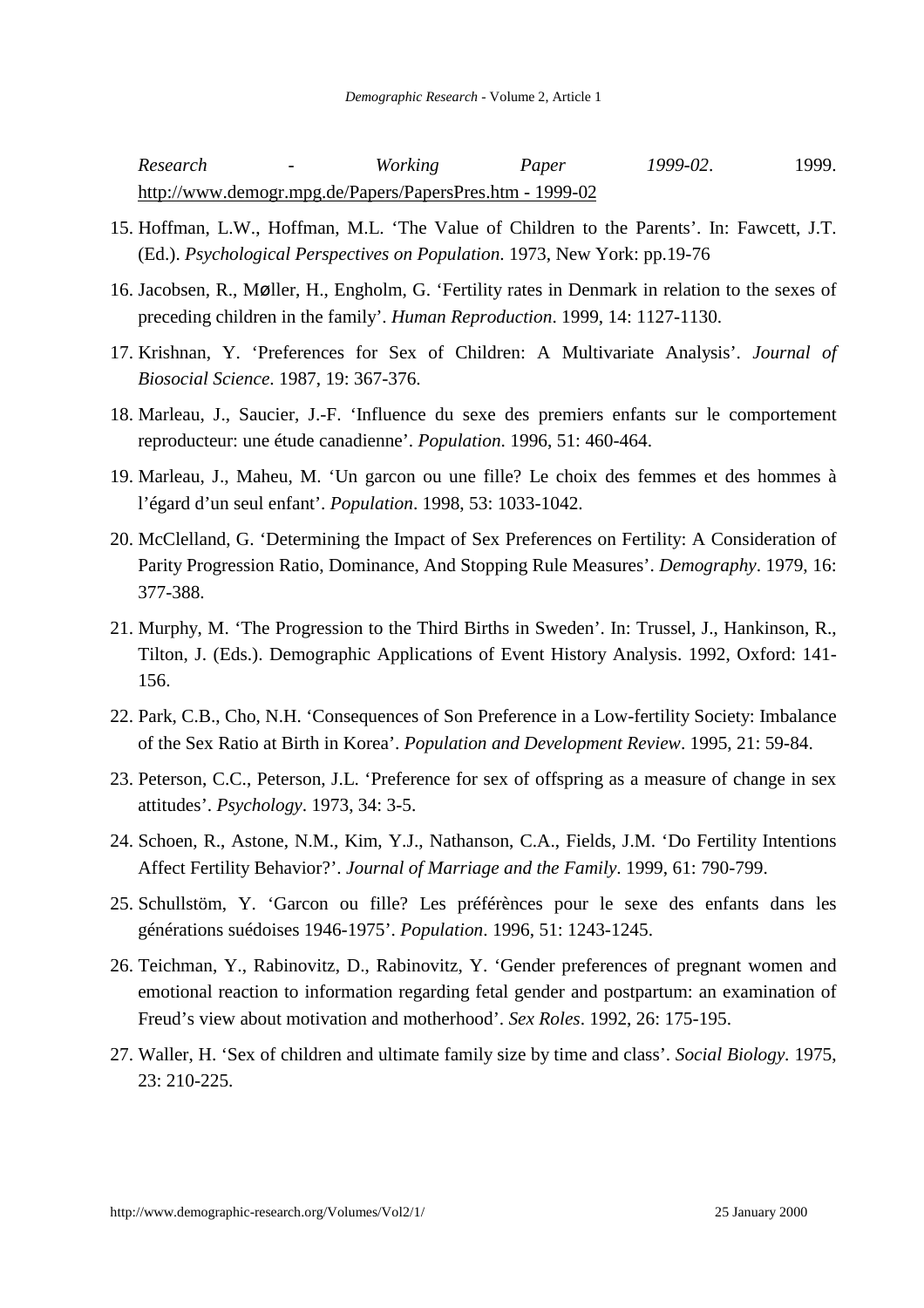*Research - Working Paper 1999-02*. 1999. http://www.demogr.mpg.de/Papers/PapersPres.htm - 1999-02

- 15. Hoffman, L.W., Hoffman, M.L. 'The Value of Children to the Parents'. In: Fawcett, J.T. (Ed.). *Psychological Perspectives on Population*. 1973, New York: pp.19-76
- 16. Jacobsen, R., Møller, H., Engholm, G. 'Fertility rates in Denmark in relation to the sexes of preceding children in the family'. *Human Reproduction*. 1999, 14: 1127-1130.
- 17. Krishnan, Y. 'Preferences for Sex of Children: A Multivariate Analysis'. *Journal of Biosocial Science*. 1987, 19: 367-376.
- 18. Marleau, J., Saucier, J.-F. 'Influence du sexe des premiers enfants sur le comportement reproducteur: une étude canadienne'. *Population*. 1996, 51: 460-464.
- 19. Marleau, J., Maheu, M. 'Un garcon ou une fille? Le choix des femmes et des hommes à l'égard d'un seul enfant'. *Population*. 1998, 53: 1033-1042.
- 20. McClelland, G. 'Determining the Impact of Sex Preferences on Fertility: A Consideration of Parity Progression Ratio, Dominance, And Stopping Rule Measures'. *Demography*. 1979, 16: 377-388.
- 21. Murphy, M. 'The Progression to the Third Births in Sweden'. In: Trussel, J., Hankinson, R., Tilton, J. (Eds.). Demographic Applications of Event History Analysis. 1992, Oxford: 141- 156.
- 22. Park, C.B., Cho, N.H. 'Consequences of Son Preference in a Low-fertility Society: Imbalance of the Sex Ratio at Birth in Korea'. *Population and Development Review*. 1995, 21: 59-84.
- 23. Peterson, C.C., Peterson, J.L. 'Preference for sex of offspring as a measure of change in sex attitudes'. *Psychology*. 1973, 34: 3-5.
- 24. Schoen, R., Astone, N.M., Kim, Y.J., Nathanson, C.A., Fields, J.M. 'Do Fertility Intentions Affect Fertility Behavior?'. *Journal of Marriage and the Family*. 1999, 61: 790-799.
- 25. Schullstöm, Y. 'Garcon ou fille? Les préférènces pour le sexe des enfants dans les générations suédoises 1946-1975'. *Population*. 1996, 51: 1243-1245.
- 26. Teichman, Y., Rabinovitz, D., Rabinovitz, Y. 'Gender preferences of pregnant women and emotional reaction to information regarding fetal gender and postpartum: an examination of Freud's view about motivation and motherhood'. *Sex Roles*. 1992, 26: 175-195.
- 27. Waller, H. 'Sex of children and ultimate family size by time and class'. *Social Biology.* 1975, 23: 210-225.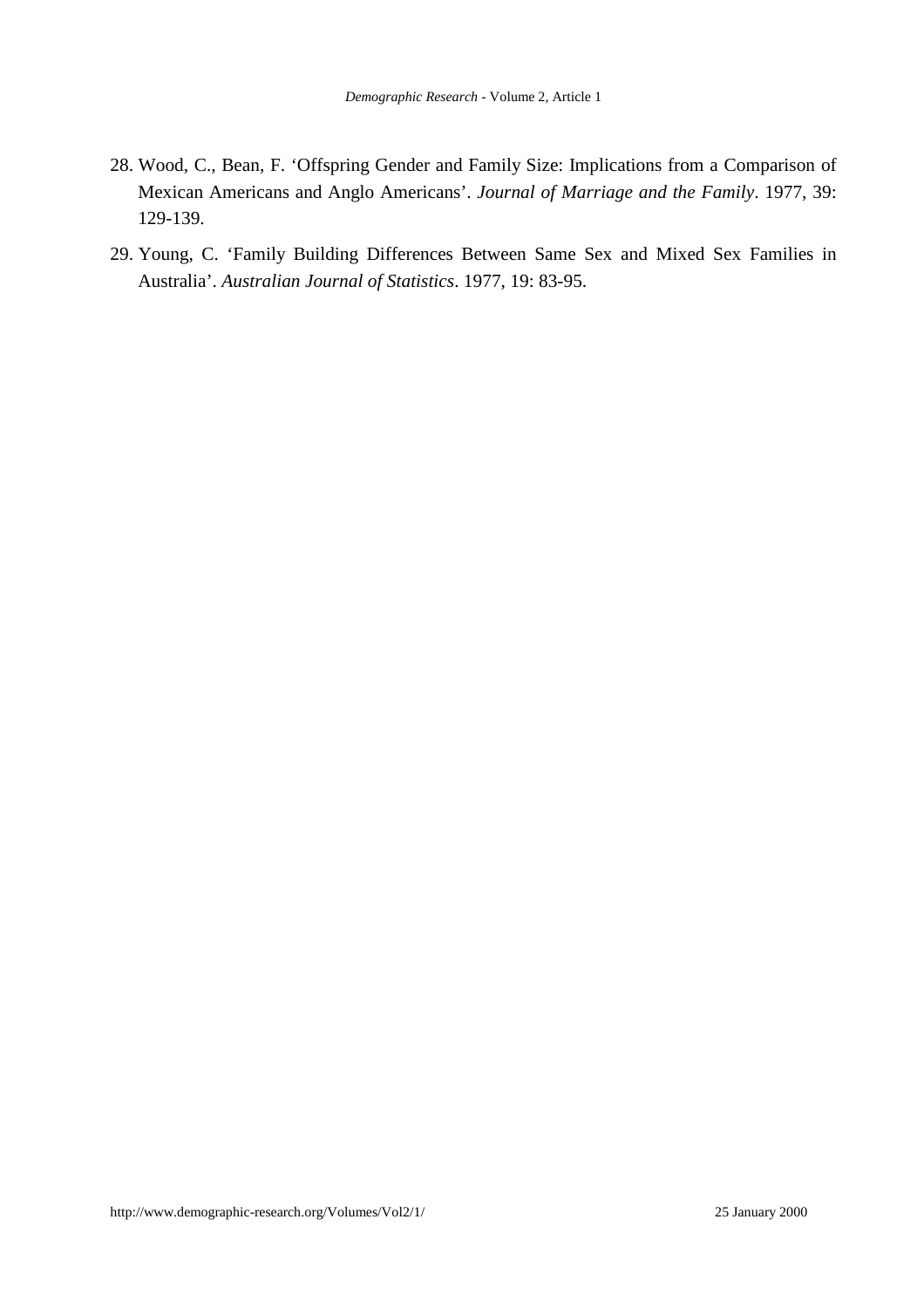- 28. Wood, C., Bean, F. 'Offspring Gender and Family Size: Implications from a Comparison of Mexican Americans and Anglo Americans'. *Journal of Marriage and the Family*. 1977, 39: 129-139.
- 29. Young, C. 'Family Building Differences Between Same Sex and Mixed Sex Families in Australia'. *Australian Journal of Statistics*. 1977, 19: 83-95.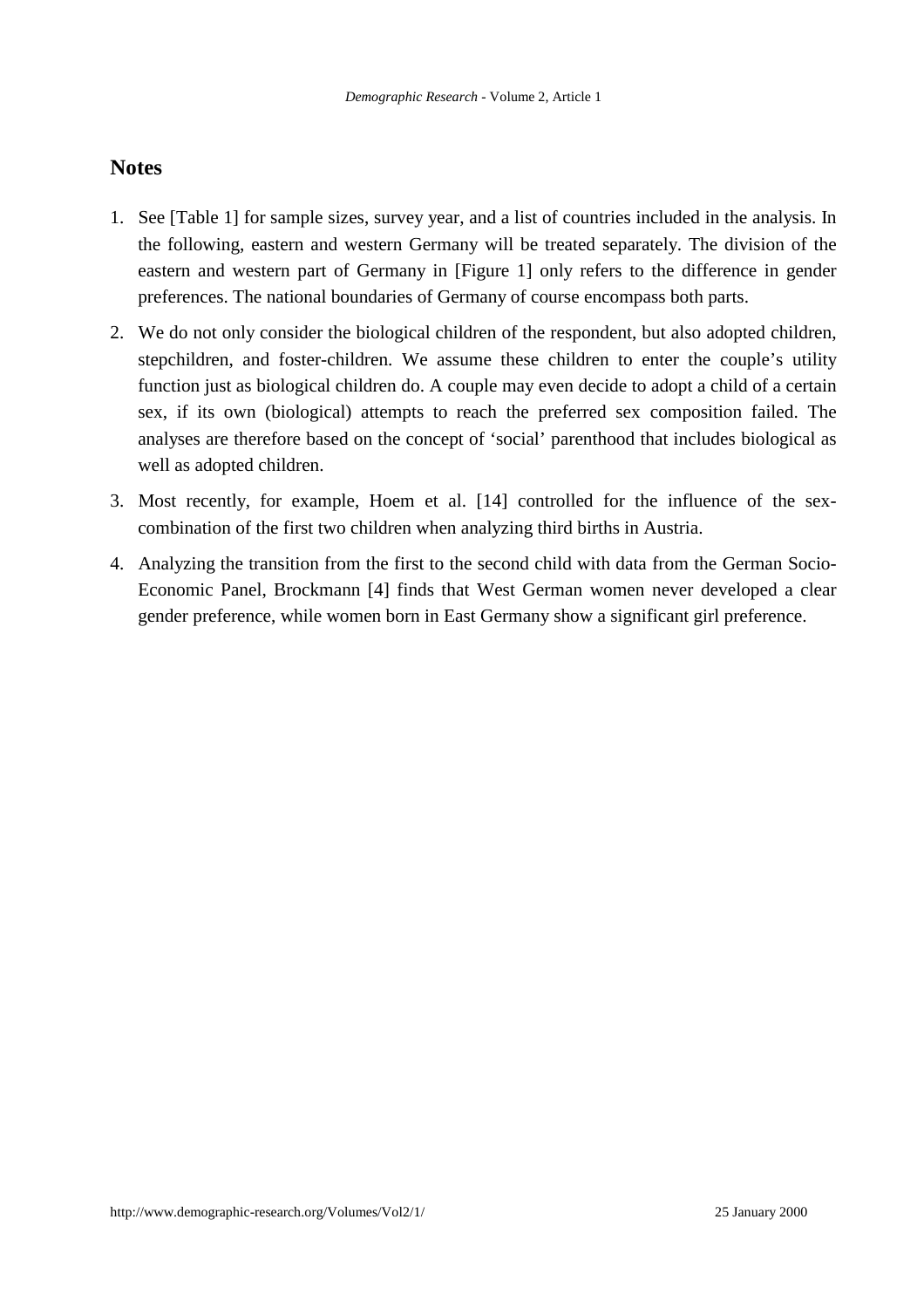# **Notes**

- 1. See [Table 1] for sample sizes, survey year, and a list of countries included in the analysis. In the following, eastern and western Germany will be treated separately. The division of the eastern and western part of Germany in [Figure 1] only refers to the difference in gender preferences. The national boundaries of Germany of course encompass both parts.
- 2. We do not only consider the biological children of the respondent, but also adopted children, stepchildren, and foster-children. We assume these children to enter the couple's utility function just as biological children do. A couple may even decide to adopt a child of a certain sex, if its own (biological) attempts to reach the preferred sex composition failed. The analyses are therefore based on the concept of 'social' parenthood that includes biological as well as adopted children.
- 3. Most recently, for example, Hoem et al. [14] controlled for the influence of the sexcombination of the first two children when analyzing third births in Austria.
- 4. Analyzing the transition from the first to the second child with data from the German Socio-Economic Panel, Brockmann [4] finds that West German women never developed a clear gender preference, while women born in East Germany show a significant girl preference.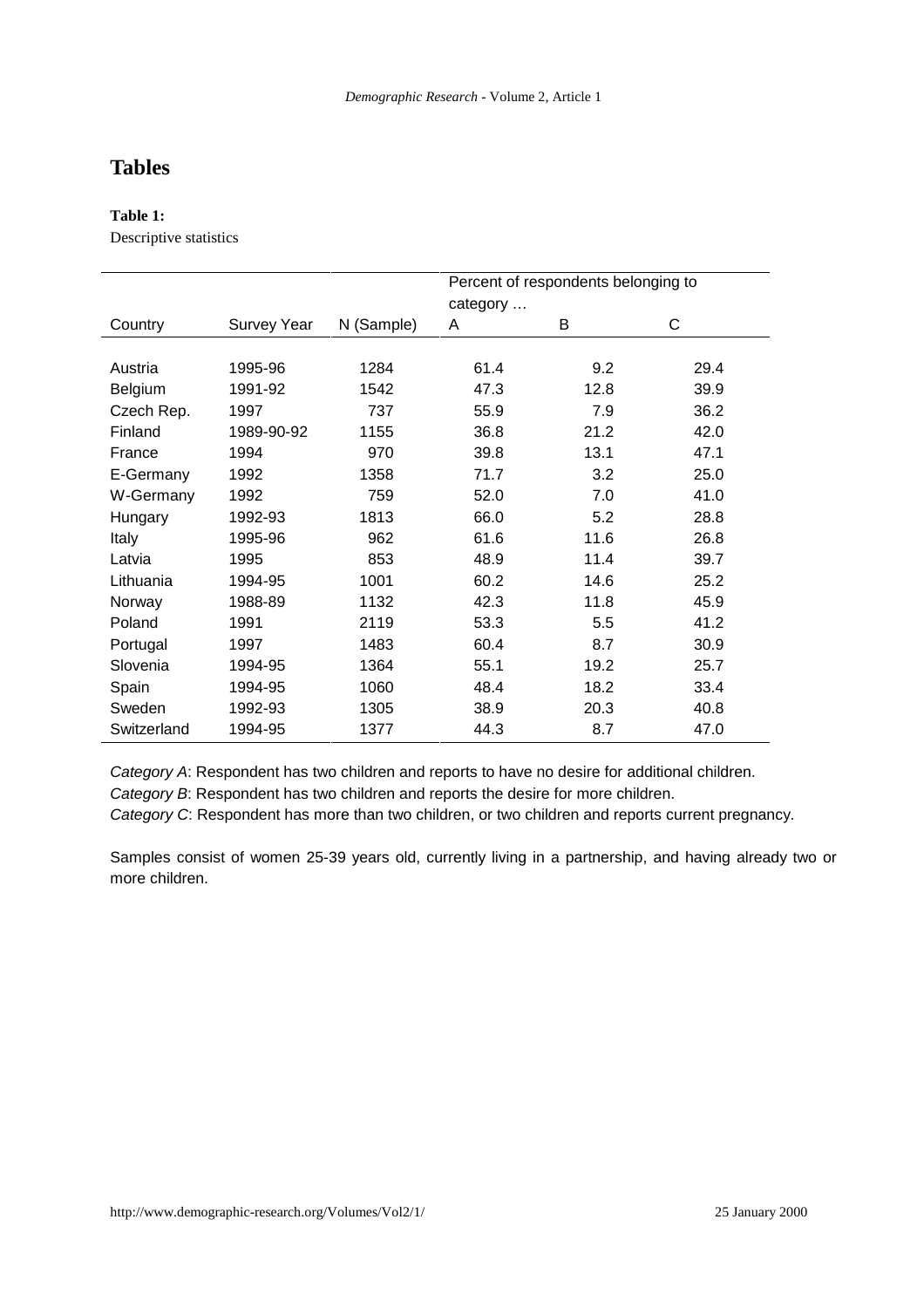# **Tables**

## **Table 1:**

Descriptive statistics

|                |                    |            | Percent of respondents belonging to |      |      |
|----------------|--------------------|------------|-------------------------------------|------|------|
|                |                    |            | category                            |      |      |
| Country        | <b>Survey Year</b> | N (Sample) | A                                   | В    | C    |
|                |                    |            |                                     |      |      |
| Austria        | 1995-96            | 1284       | 61.4                                | 9.2  | 29.4 |
| <b>Belgium</b> | 1991-92            | 1542       | 47.3                                | 12.8 | 39.9 |
| Czech Rep.     | 1997               | 737        | 55.9                                | 7.9  | 36.2 |
| Finland        | 1989-90-92         | 1155       | 36.8                                | 21.2 | 42.0 |
| France         | 1994               | 970        | 39.8                                | 13.1 | 47.1 |
| E-Germany      | 1992               | 1358       | 71.7                                | 3.2  | 25.0 |
| W-Germany      | 1992               | 759        | 52.0                                | 7.0  | 41.0 |
| Hungary        | 1992-93            | 1813       | 66.0                                | 5.2  | 28.8 |
| <b>Italy</b>   | 1995-96            | 962        | 61.6                                | 11.6 | 26.8 |
| Latvia         | 1995               | 853        | 48.9                                | 11.4 | 39.7 |
| Lithuania      | 1994-95            | 1001       | 60.2                                | 14.6 | 25.2 |
| Norway         | 1988-89            | 1132       | 42.3                                | 11.8 | 45.9 |
| Poland         | 1991               | 2119       | 53.3                                | 5.5  | 41.2 |
| Portugal       | 1997               | 1483       | 60.4                                | 8.7  | 30.9 |
| Slovenia       | 1994-95            | 1364       | 55.1                                | 19.2 | 25.7 |
| Spain          | 1994-95            | 1060       | 48.4                                | 18.2 | 33.4 |
| Sweden         | 1992-93            | 1305       | 38.9                                | 20.3 | 40.8 |
| Switzerland    | 1994-95            | 1377       | 44.3                                | 8.7  | 47.0 |

Category A: Respondent has two children and reports to have no desire for additional children.

Category B: Respondent has two children and reports the desire for more children.

Category C: Respondent has more than two children, or two children and reports current pregnancy.

Samples consist of women 25-39 years old, currently living in a partnership, and having already two or more children.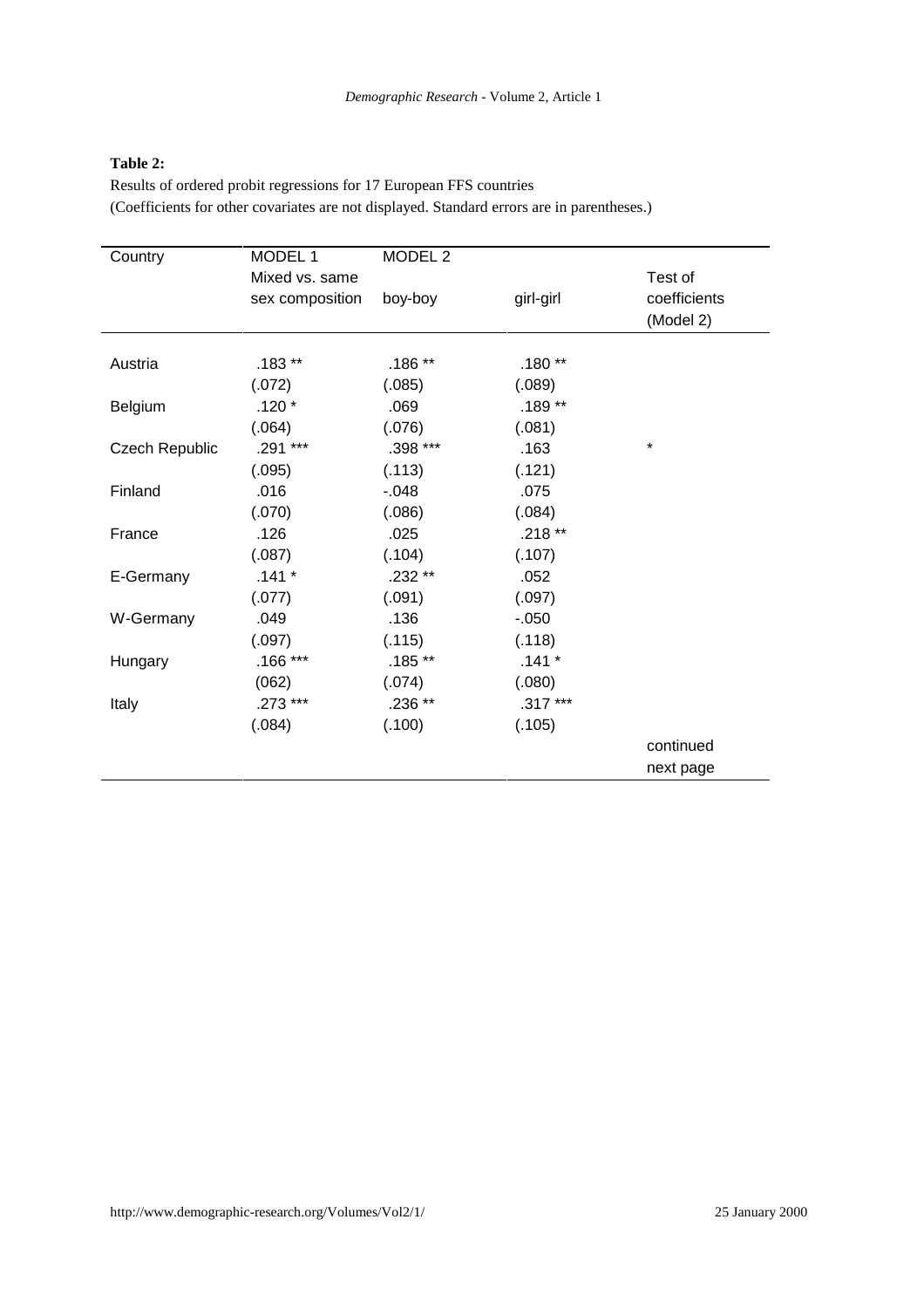#### **Table 2:**

Results of ordered probit regressions for 17 European FFS countries (Coefficients for other covariates are not displayed. Standard errors are in parentheses.)

| Country               | MODEL 1         | MODEL <sub>2</sub> |           |              |
|-----------------------|-----------------|--------------------|-----------|--------------|
|                       | Mixed vs. same  |                    |           | Test of      |
|                       | sex composition | boy-boy            | girl-girl | coefficients |
|                       |                 |                    |           | (Model 2)    |
|                       |                 |                    |           |              |
| Austria               | $.183**$        | $.186**$           | $.180**$  |              |
|                       | (.072)          | (.085)             | (.089)    |              |
| <b>Belgium</b>        | $.120*$         | .069               | .189**    |              |
|                       | (.064)          | (.076)             | (.081)    |              |
| <b>Czech Republic</b> | .291 ***        | .398 ***           | .163      | *            |
|                       | (.095)          | (.113)             | (.121)    |              |
| Finland               | .016            | $-0.048$           | .075      |              |
|                       | (.070)          | (.086)             | (.084)    |              |
| France                | .126            | .025               | .218 **   |              |
|                       | (.087)          | (.104)             | (.107)    |              |
| E-Germany             | $.141*$         | .232 **            | .052      |              |
|                       | (.077)          | (.091)             | (.097)    |              |
| W-Germany             | .049            | .136               | $-0.050$  |              |
|                       | (.097)          | (.115)             | (.118)    |              |
| Hungary               | $.166***$       | $.185**$           | $.141 *$  |              |
|                       | (062)           | (.074)             | (.080)    |              |
| Italy                 | .273 ***        | .236 **            | $.317***$ |              |
|                       | (.084)          | (.100)             | (.105)    |              |
|                       |                 |                    |           | continued    |
|                       |                 |                    |           | next page    |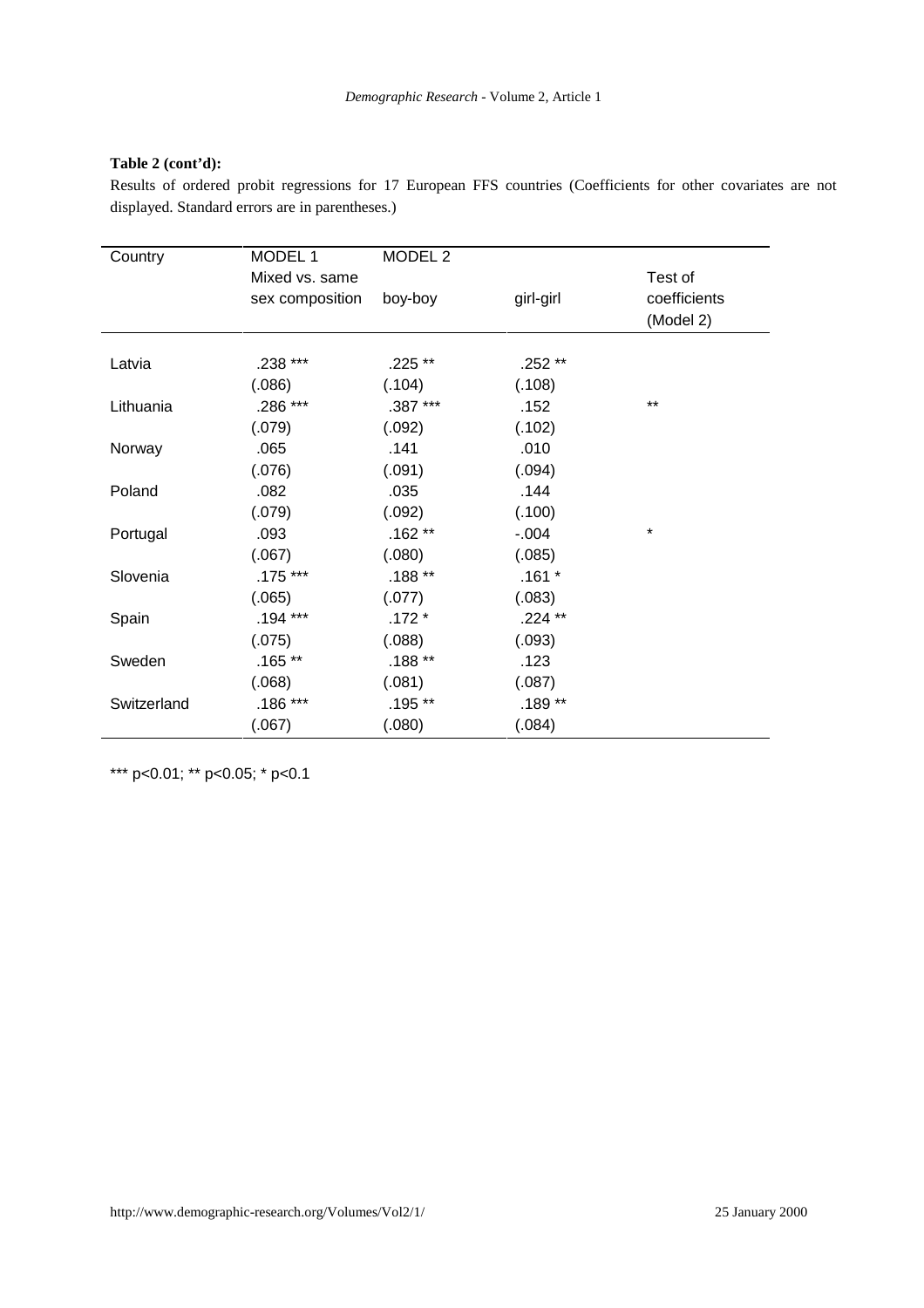#### **Table 2 (cont'd):**

Results of ordered probit regressions for 17 European FFS countries (Coefficients for other covariates are not displayed. Standard errors are in parentheses.)

| Country     | MODEL 1         | MODEL <sub>2</sub> |           |                           |
|-------------|-----------------|--------------------|-----------|---------------------------|
|             | Mixed vs. same  |                    |           | Test of                   |
|             | sex composition | boy-boy            | girl-girl | coefficients<br>(Model 2) |
| Latvia      | .238 ***        | .225 **            | .252 **   |                           |
|             | (.086)          | (.104)             | (.108)    |                           |
| Lithuania   | .286 ***        | .387 ***           | .152      | $***$                     |
|             | (.079)          | (.092)             | (.102)    |                           |
| Norway      | .065            | .141               | .010      |                           |
|             | (.076)          | (.091)             | (.094)    |                           |
| Poland      | .082            | .035               | .144      |                           |
|             | (.079)          | (.092)             | (.100)    |                           |
| Portugal    | .093            | $.162**$           | $-.004$   | $\star$                   |
|             | (.067)          | (.080)             | (.085)    |                           |
| Slovenia    | $.175***$       | $.188**$           | $.161*$   |                           |
|             | (.065)          | (.077)             | (.083)    |                           |
| Spain       | $.194***$       | $.172*$            | .224 **   |                           |
|             | (.075)          | (.088)             | (.093)    |                           |
| Sweden      | $.165**$        | $.188**$           | .123      |                           |
|             | (0.068)         | (.081)             | (.087)    |                           |
| Switzerland | .186 ***        | .195 **            | $.189**$  |                           |
|             | (.067)          | (.080)             | (.084)    |                           |

\*\*\* p<0.01; \*\* p<0.05; \* p<0.1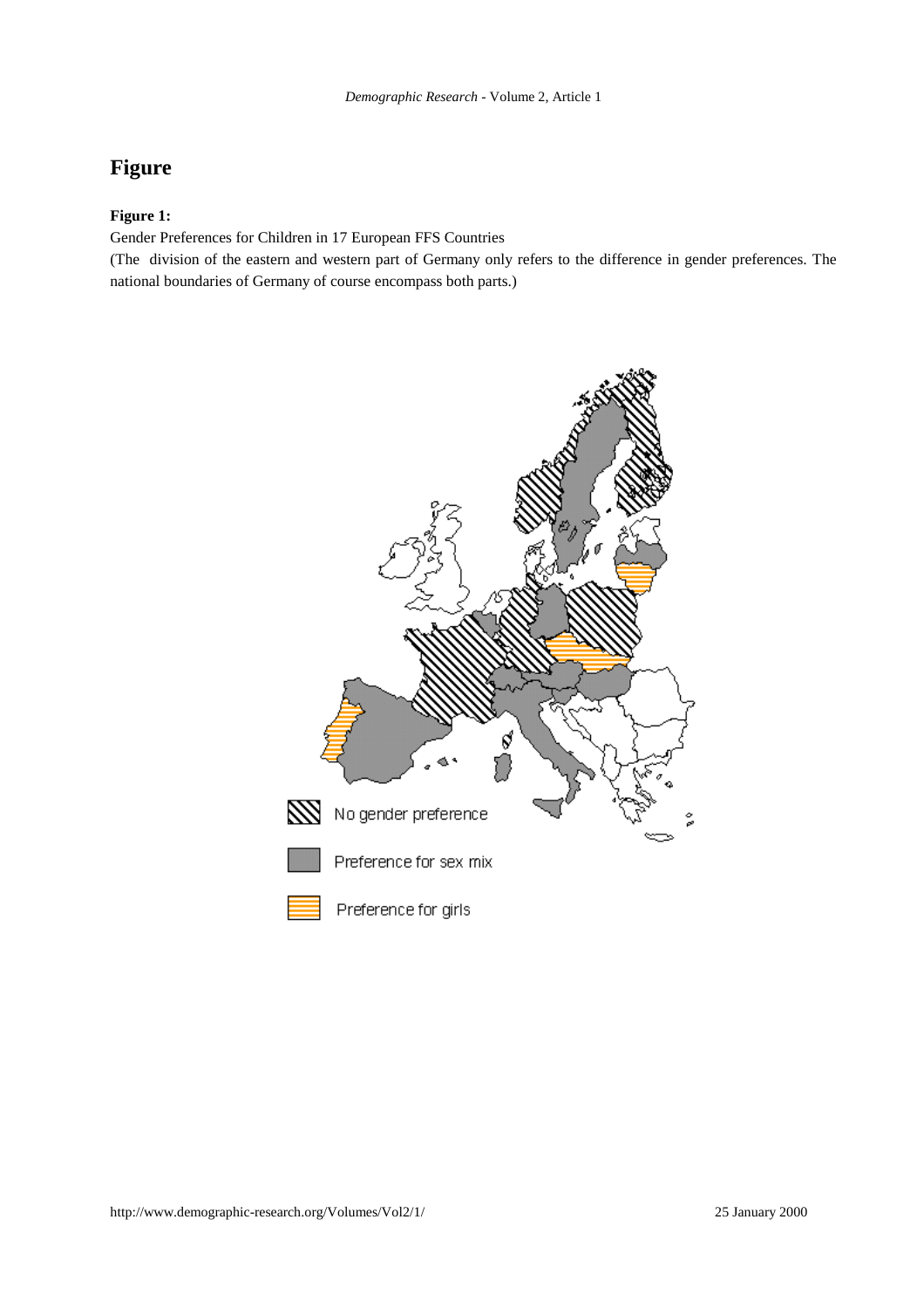# **Figure**

### **Figure 1:**

Gender Preferences for Children in 17 European FFS Countries

(The division of the eastern and western part of Germany only refers to the difference in gender preferences. The national boundaries of Germany of course encompass both parts.)